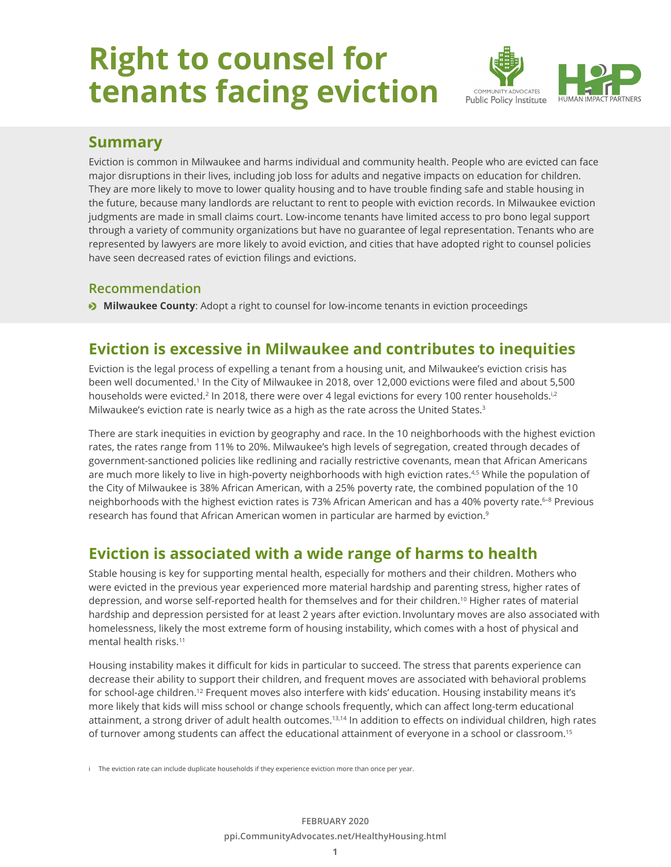# **Right to counsel for tenants facing eviction**



#### **Summary**

Eviction is common in Milwaukee and harms individual and community health. People who are evicted can face major disruptions in their lives, including job loss for adults and negative impacts on education for children. They are more likely to move to lower quality housing and to have trouble finding safe and stable housing in the future, because many landlords are reluctant to rent to people with eviction records. In Milwaukee eviction judgments are made in small claims court. Low-income tenants have limited access to pro bono legal support through a variety of community organizations but have no guarantee of legal representation. Tenants who are represented by lawyers are more likely to avoid eviction, and cities that have adopted right to counsel policies have seen decreased rates of eviction filings and evictions.

#### **Recommendation**

**Milwaukee County:** Adopt a right to counsel for low-income tenants in eviction proceedings

## **Eviction is excessive in Milwaukee and contributes to inequities**

Eviction is the legal process of expelling a tenant from a housing unit, and Milwaukee's eviction crisis has been well documented.<sup>1</sup> In the City of Milwaukee in 2018, over 12,000 evictions were filed and about 5,500 households were evicted.<sup>2</sup> In 2018, there were over 4 legal evictions for every 100 renter households.<sup>i,2</sup> Milwaukee's eviction rate is nearly twice as a high as the rate across the United States.<sup>3</sup>

There are stark inequities in eviction by geography and race. In the 10 neighborhoods with the highest eviction rates, the rates range from 11% to 20%. Milwaukee's high levels of segregation, created through decades of government-sanctioned policies like redlining and racially restrictive covenants, mean that African Americans are much more likely to live in high-poverty neighborhoods with high eviction rates.<sup>4,5</sup> While the population of the City of Milwaukee is 38% African American, with a 25% poverty rate, the combined population of the 10 neighborhoods with the highest eviction rates is 73% African American and has a 40% poverty rate.<sup>6–8</sup> Previous research has found that African American women in particular are harmed by eviction.<sup>9</sup>

# **Eviction is associated with a wide range of harms to health**

Stable housing is key for supporting mental health, especially for mothers and their children. Mothers who were evicted in the previous year experienced more material hardship and parenting stress, higher rates of depression, and worse self-reported health for themselves and for their children.10 Higher rates of material hardship and depression persisted for at least 2 years after eviction. Involuntary moves are also associated with homelessness, likely the most extreme form of housing instability, which comes with a host of physical and mental health risks.11

Housing instability makes it difficult for kids in particular to succeed. The stress that parents experience can decrease their ability to support their children, and frequent moves are associated with behavioral problems for school-age children.<sup>12</sup> Frequent moves also interfere with kids' education. Housing instability means it's more likely that kids will miss school or change schools frequently, which can affect long-term educational attainment, a strong driver of adult health outcomes.<sup>13,14</sup> In addition to effects on individual children, high rates of turnover among students can affect the educational attainment of everyone in a school or classroom.15

i The eviction rate can include duplicate households if they experience eviction more than once per year.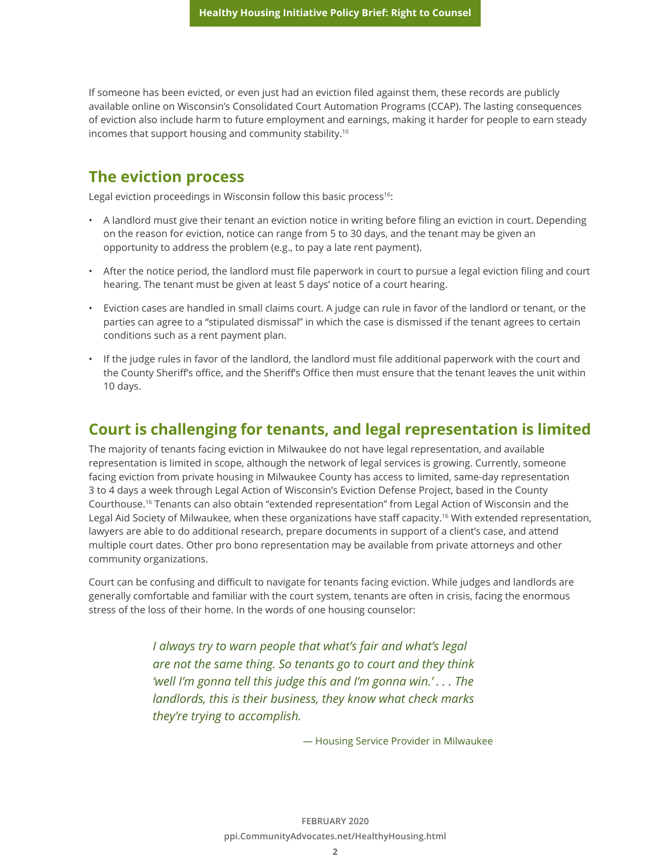If someone has been evicted, or even just had an eviction filed against them, these records are publicly available online on Wisconsin's Consolidated Court Automation Programs (CCAP). The lasting consequences of eviction also include harm to future employment and earnings, making it harder for people to earn steady incomes that support housing and community stability.10

## **The eviction process**

Legal eviction proceedings in Wisconsin follow this basic process<sup>16</sup>:

- A landlord must give their tenant an eviction notice in writing before filing an eviction in court. Depending on the reason for eviction, notice can range from 5 to 30 days, and the tenant may be given an opportunity to address the problem (e.g., to pay a late rent payment).
- After the notice period, the landlord must file paperwork in court to pursue a legal eviction filing and court hearing. The tenant must be given at least 5 days' notice of a court hearing.
- Eviction cases are handled in small claims court. A judge can rule in favor of the landlord or tenant, or the parties can agree to a "stipulated dismissal" in which the case is dismissed if the tenant agrees to certain conditions such as a rent payment plan.
- If the judge rules in favor of the landlord, the landlord must file additional paperwork with the court and the County Sheriff's office, and the Sheriff's Office then must ensure that the tenant leaves the unit within 10 days.

#### **Court is challenging for tenants, and legal representation is limited**

The majority of tenants facing eviction in Milwaukee do not have legal representation, and available representation is limited in scope, although the network of legal services is growing. Currently, someone facing eviction from private housing in Milwaukee County has access to limited, same-day representation 3 to 4 days a week through Legal Action of Wisconsin's Eviction Defense Project, based in the County Courthouse.16 Tenants can also obtain "extended representation" from Legal Action of Wisconsin and the Legal Aid Society of Milwaukee, when these organizations have staff capacity.<sup>16</sup> With extended representation, lawyers are able to do additional research, prepare documents in support of a client's case, and attend multiple court dates. Other pro bono representation may be available from private attorneys and other community organizations.

Court can be confusing and difficult to navigate for tenants facing eviction. While judges and landlords are generally comfortable and familiar with the court system, tenants are often in crisis, facing the enormous stress of the loss of their home. In the words of one housing counselor:

> *I always try to warn people that what's fair and what's legal are not the same thing. So tenants go to court and they think 'well I'm gonna tell this judge this and I'm gonna win.' . . . The landlords, this is their business, they know what check marks they're trying to accomplish.*

> > — Housing Service Provider in Milwaukee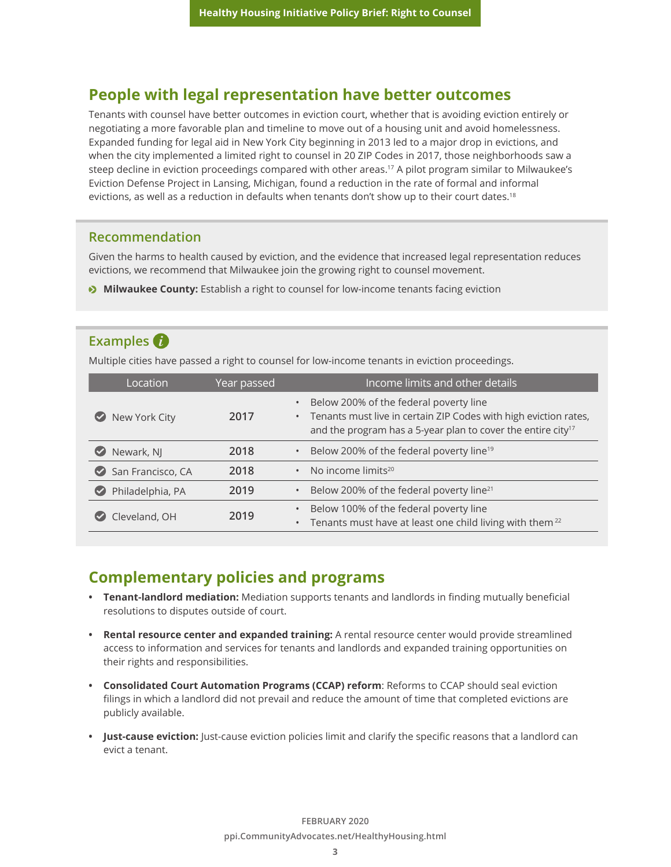#### **People with legal representation have better outcomes**

Tenants with counsel have better outcomes in eviction court, whether that is avoiding eviction entirely or negotiating a more favorable plan and timeline to move out of a housing unit and avoid homelessness. Expanded funding for legal aid in New York City beginning in 2013 led to a major drop in evictions, and when the city implemented a limited right to counsel in 20 ZIP Codes in 2017, those neighborhoods saw a steep decline in eviction proceedings compared with other areas.<sup>17</sup> A pilot program similar to Milwaukee's Eviction Defense Project in Lansing, Michigan, found a reduction in the rate of formal and informal evictions, as well as a reduction in defaults when tenants don't show up to their court dates.<sup>18</sup>

#### **Recommendation**

Given the harms to health caused by eviction, and the evidence that increased legal representation reduces evictions, we recommend that Milwaukee join the growing right to counsel movement.

 $\bullet$  **Milwaukee County:** Establish a right to counsel for low-income tenants facing eviction

#### **Examples**

Multiple cities have passed a right to counsel for low-income tenants in eviction proceedings.

| Location                                  | Year passed | Income limits and other details                                                                                                                                                                                  |
|-------------------------------------------|-------------|------------------------------------------------------------------------------------------------------------------------------------------------------------------------------------------------------------------|
| New York City<br>$(\checkmark)$           | 2017        | Below 200% of the federal poverty line<br>$\bullet$<br>Tenants must live in certain ZIP Codes with high eviction rates,<br>$\bullet$<br>and the program has a 5-year plan to cover the entire city <sup>17</sup> |
| Newark, NJ                                | 2018        | Below 200% of the federal poverty line <sup>19</sup><br>$\bullet$                                                                                                                                                |
| San Francisco, CA<br>$\blacktriangledown$ | 2018        | $\cdot$ No income limits <sup>20</sup>                                                                                                                                                                           |
| Philadelphia, PA                          | 2019        | Below 200% of the federal poverty line <sup>21</sup><br>$\bullet$                                                                                                                                                |
| Cleveland, OH                             | 2019        | Below 100% of the federal poverty line<br>$\bullet$<br>Tenants must have at least one child living with them <sup>22</sup><br>$\bullet$                                                                          |

## **Complementary policies and programs**

- **• Tenant-landlord mediation:** Mediation supports tenants and landlords in finding mutually beneficial resolutions to disputes outside of court.
- **• Rental resource center and expanded training:** A rental resource center would provide streamlined access to information and services for tenants and landlords and expanded training opportunities on their rights and responsibilities.
- **• Consolidated Court Automation Programs (CCAP) reform**: Reforms to CCAP should seal eviction filings in which a landlord did not prevail and reduce the amount of time that completed evictions are publicly available.
- **• Just-cause eviction:** Just-cause eviction policies limit and clarify the specific reasons that a landlord can evict a tenant.